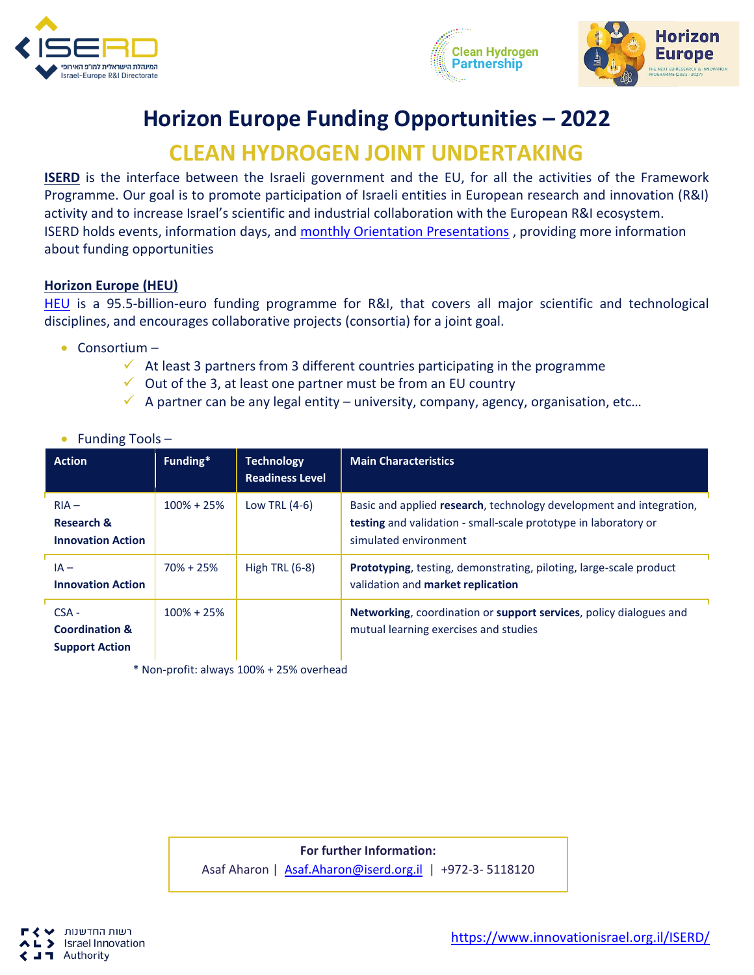





## **Horizon Europe Funding Opportunities – 2022**

## **CLEAN HYDROGEN JOINT UNDERTAKING**

**ISERD** is the interface between the Israeli government and the EU, for all the activities of the Framework Programme. Our goal is to promote participation of Israeli entities in European research and innovation (R&I) activity and to increase Israel's scientific and industrial collaboration with the European R&I ecosystem. ISERD holds events, information days, and [monthly Orientation Presentations](https://www.innovationisrael.org.il/ISERD/page/news-events) , providing more information about funding opportunities

## **Horizon Europe (HEU)**

[HEU](https://ec.europa.eu/info/horizon-europe_en) is a 95.5-billion-euro funding programme for R&I, that covers all major scientific and technological disciplines, and encourages collaborative projects (consortia) for a joint goal.

• Consortium –

• Funding Tools –

- $\checkmark$  At least 3 partners from 3 different countries participating in the programme
- $\checkmark$  Out of the 3, at least one partner must be from an EU country
- $\checkmark$  A partner can be any legal entity university, company, agency, organisation, etc...

| <b>Action</b>                                                 | Funding*       | <b>Technology</b><br><b>Readiness Level</b> | <b>Main Characteristics</b>                                                                                                                                     |
|---------------------------------------------------------------|----------------|---------------------------------------------|-----------------------------------------------------------------------------------------------------------------------------------------------------------------|
| $RIA -$<br><b>Research &amp;</b><br><b>Innovation Action</b>  | $100\% + 25\%$ | Low TRL $(4-6)$                             | Basic and applied research, technology development and integration,<br>testing and validation - small-scale prototype in laboratory or<br>simulated environment |
| $IA -$<br><b>Innovation Action</b>                            | $70\% + 25\%$  | High TRL $(6-8)$                            | <b>Prototyping</b> , testing, demonstrating, piloting, large-scale product<br>validation and market replication                                                 |
| $CSA -$<br><b>Coordination &amp;</b><br><b>Support Action</b> | $100\% + 25\%$ |                                             | Networking, coordination or support services, policy dialogues and<br>mutual learning exercises and studies                                                     |

\* Non-profit: always 100% + 25% overhead

**For further Information:**  Asaf Aharon | [Asaf.Aharon@iserd.org.il](mailto:Asaf.Aharon@iserd.org.il) | +972-3- 5118120

רשות החדשנות **Israel Innovation** Authority - 11

[https://www.innovationisrael.org.il/ISERD/](https://www.innovationisrael.org.il/ISERD)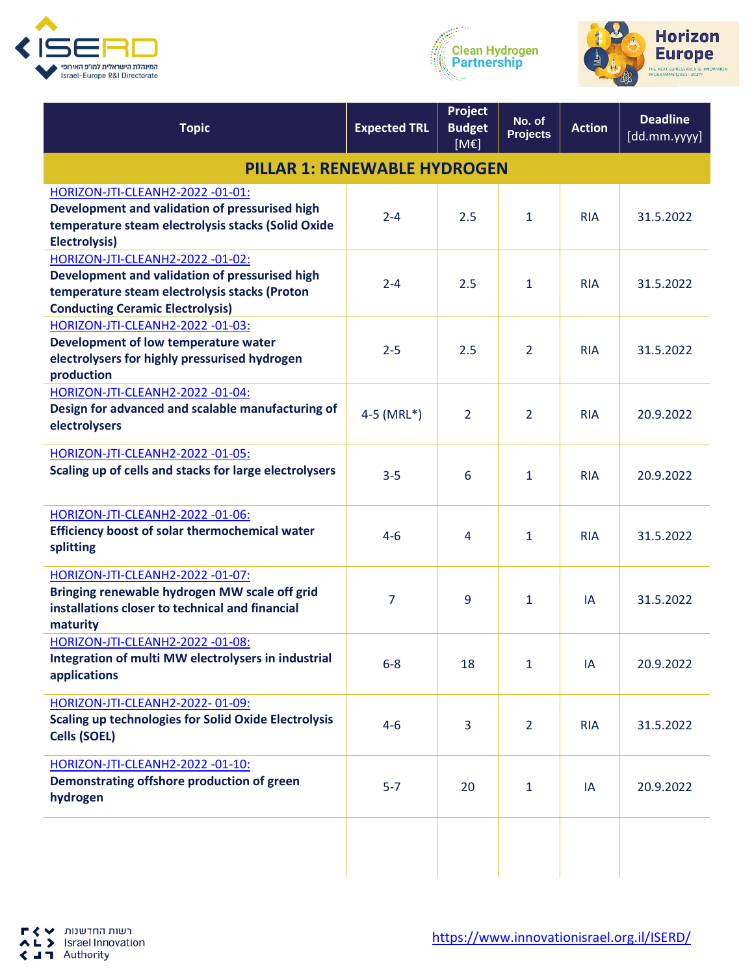





| <b>Topic</b>                                                                            | <b>Expected TRL</b>       | Project<br><b>Budget</b><br>[ME] | No. of<br><b>Projects</b> | <b>Action</b> | <b>Deadline</b><br>[dd.mm.yyyy] |  |
|-----------------------------------------------------------------------------------------|---------------------------|----------------------------------|---------------------------|---------------|---------------------------------|--|
| <b>PILLAR 1: RENEWABLE HYDROGEN</b>                                                     |                           |                                  |                           |               |                                 |  |
| HORIZON-JTI-CLEANH2-2022 -01-01:                                                        |                           |                                  |                           |               |                                 |  |
| Development and validation of pressurised high                                          | $2 - 4$                   | 2.5                              | 1                         | <b>RIA</b>    | 31.5.2022                       |  |
| temperature steam electrolysis stacks (Solid Oxide                                      |                           |                                  |                           |               |                                 |  |
| <b>Electrolysis)</b><br>HORIZON-JTI-CLEANH2-2022 -01-02:                                |                           |                                  |                           |               |                                 |  |
| Development and validation of pressurised high                                          |                           |                                  |                           |               |                                 |  |
| temperature steam electrolysis stacks (Proton                                           | $2 - 4$                   | 2.5                              | 1                         | <b>RIA</b>    | 31.5.2022                       |  |
| <b>Conducting Ceramic Electrolysis)</b>                                                 |                           |                                  |                           |               |                                 |  |
| HORIZON-JTI-CLEANH2-2022 -01-03:                                                        |                           |                                  |                           |               |                                 |  |
| Development of low temperature water                                                    | $2 - 5$                   | 2.5                              | $\overline{2}$            | <b>RIA</b>    | 31.5.2022                       |  |
| electrolysers for highly pressurised hydrogen<br>production                             |                           |                                  |                           |               |                                 |  |
| HORIZON-JTI-CLEANH2-2022 -01-04:                                                        |                           |                                  |                           |               |                                 |  |
| Design for advanced and scalable manufacturing of                                       |                           |                                  |                           |               |                                 |  |
| electrolysers                                                                           | $4-5$ (MRL <sup>*</sup> ) | $\overline{2}$                   | $\overline{2}$            | <b>RIA</b>    | 20.9.2022                       |  |
| HORIZON-JTI-CLEANH2-2022 -01-05:                                                        |                           |                                  |                           |               |                                 |  |
| Scaling up of cells and stacks for large electrolysers                                  | $3 - 5$                   | 6                                | 1                         | <b>RIA</b>    | 20.9.2022                       |  |
| HORIZON-JTI-CLEANH2-2022 -01-06:                                                        |                           |                                  |                           |               |                                 |  |
| <b>Efficiency boost of solar thermochemical water</b><br>splitting                      | $4 - 6$                   | 4                                | $\mathbf{1}$              | <b>RIA</b>    | 31.5.2022                       |  |
| HORIZON-JTI-CLEANH2-2022 -01-07:                                                        |                           |                                  |                           |               |                                 |  |
| Bringing renewable hydrogen MW scale off grid                                           | 7                         | 9                                | $\mathbf{1}$              | IA            | 31.5.2022                       |  |
| installations closer to technical and financial                                         |                           |                                  |                           |               |                                 |  |
| maturity                                                                                |                           |                                  |                           |               |                                 |  |
| HORIZON-JTI-CLEANH2-2022 -01-08:<br>Integration of multi MW electrolysers in industrial |                           |                                  |                           |               |                                 |  |
| applications                                                                            | $6 - 8$                   | 18                               | $\mathbf{1}$              | IA            | 20.9.2022                       |  |
| HORIZON-JTI-CLEANH2-2022-01-09:                                                         |                           |                                  |                           |               |                                 |  |
| <b>Scaling up technologies for Solid Oxide Electrolysis</b>                             | $4 - 6$                   | $\overline{3}$                   | $\overline{2}$            | <b>RIA</b>    | 31.5.2022                       |  |
| <b>Cells (SOEL)</b>                                                                     |                           |                                  |                           |               |                                 |  |
| HORIZON-JTI-CLEANH2-2022 -01-10:                                                        |                           |                                  |                           |               |                                 |  |
| Demonstrating offshore production of green                                              | $5-7$                     | 20                               | $\mathbf{1}$              | IA            | 20.9.2022                       |  |
| hydrogen                                                                                |                           |                                  |                           |               |                                 |  |
|                                                                                         |                           |                                  |                           |               |                                 |  |
|                                                                                         |                           |                                  |                           |               |                                 |  |
|                                                                                         |                           |                                  |                           |               |                                 |  |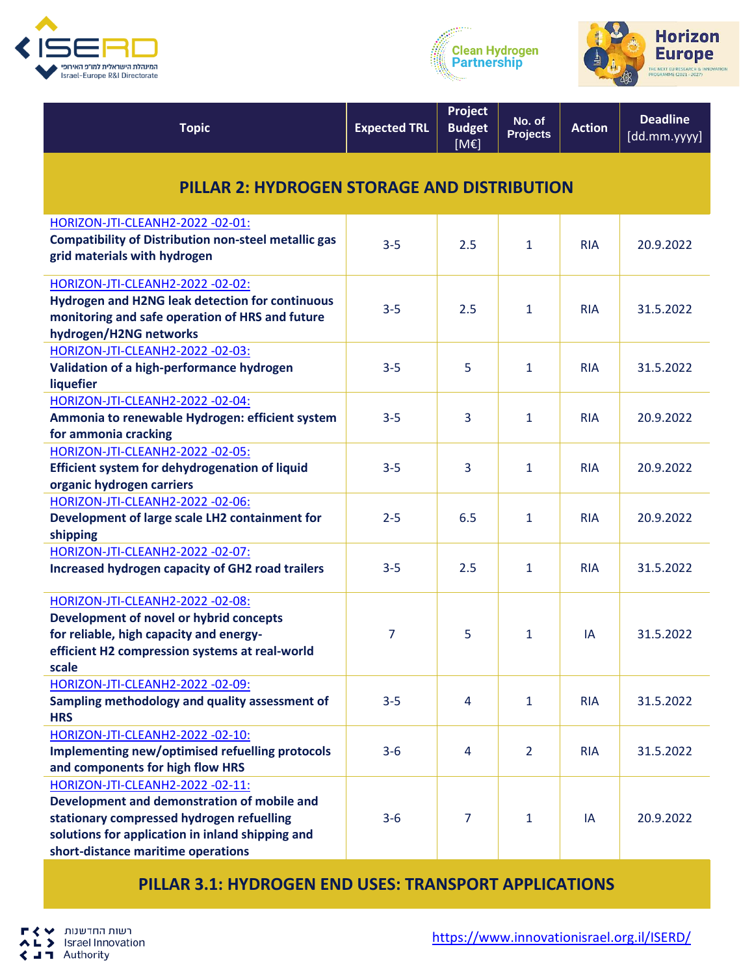





| <b>Topic</b>                                                                                                                                                                                                           | <b>Expected TRL</b> | Project<br><b>Budget</b><br>[ME] | No. of<br><b>Projects</b> | <b>Action</b> | <b>Deadline</b><br>[dd.mm.yyyy] |  |
|------------------------------------------------------------------------------------------------------------------------------------------------------------------------------------------------------------------------|---------------------|----------------------------------|---------------------------|---------------|---------------------------------|--|
| <b>PILLAR 2: HYDROGEN STORAGE AND DISTRIBUTION</b>                                                                                                                                                                     |                     |                                  |                           |               |                                 |  |
| HORIZON-JTI-CLEANH2-2022 -02-01:<br><b>Compatibility of Distribution non-steel metallic gas</b><br>grid materials with hydrogen                                                                                        | $3 - 5$             | 2.5                              | 1                         | <b>RIA</b>    | 20.9.2022                       |  |
| HORIZON-JTI-CLEANH2-2022 -02-02:<br>Hydrogen and H2NG leak detection for continuous<br>monitoring and safe operation of HRS and future<br>hydrogen/H2NG networks                                                       | $3 - 5$             | 2.5                              | $\mathbf{1}$              | <b>RIA</b>    | 31.5.2022                       |  |
| HORIZON-JTI-CLEANH2-2022 -02-03:<br>Validation of a high-performance hydrogen<br>liquefier                                                                                                                             | $3 - 5$             | 5                                | 1                         | <b>RIA</b>    | 31.5.2022                       |  |
| HORIZON-JTI-CLEANH2-2022 -02-04:<br>Ammonia to renewable Hydrogen: efficient system<br>for ammonia cracking                                                                                                            | $3 - 5$             | 3                                | 1                         | <b>RIA</b>    | 20.9.2022                       |  |
| HORIZON-JTI-CLEANH2-2022 -02-05:<br>Efficient system for dehydrogenation of liquid<br>organic hydrogen carriers                                                                                                        | $3 - 5$             | 3                                | $\mathbf{1}$              | <b>RIA</b>    | 20.9.2022                       |  |
| HORIZON-JTI-CLEANH2-2022 -02-06:<br>Development of large scale LH2 containment for<br>shipping                                                                                                                         | $2 - 5$             | 6.5                              | 1                         | <b>RIA</b>    | 20.9.2022                       |  |
| HORIZON-JTI-CLEANH2-2022 -02-07:<br>Increased hydrogen capacity of GH2 road trailers                                                                                                                                   | $3 - 5$             | 2.5                              | 1                         | <b>RIA</b>    | 31.5.2022                       |  |
| HORIZON-JTI-CLEANH2-2022 -02-08:<br>Development of novel or hybrid concepts<br>for reliable, high capacity and energy-<br>efficient H2 compression systems at real-world<br>scale                                      | 7                   | 5                                | 1                         | IA            | 31.5.2022                       |  |
| HORIZON-JTI-CLEANH2-2022 -02-09:<br>Sampling methodology and quality assessment of<br><b>HRS</b>                                                                                                                       | $3 - 5$             | 4                                | $\mathbf{1}$              | <b>RIA</b>    | 31.5.2022                       |  |
| HORIZON-JTI-CLEANH2-2022 -02-10:<br>Implementing new/optimised refuelling protocols<br>and components for high flow HRS                                                                                                | $3 - 6$             | $\overline{4}$                   | $\overline{2}$            | <b>RIA</b>    | 31.5.2022                       |  |
| HORIZON-JTI-CLEANH2-2022 -02-11:<br>Development and demonstration of mobile and<br>stationary compressed hydrogen refuelling<br>solutions for application in inland shipping and<br>short-distance maritime operations | $3 - 6$             | $\overline{7}$                   | 1                         | IA            | 20.9.2022                       |  |

**PILLAR 3.1: HYDROGEN END USES: TRANSPORT APPLICATIONS**

רשות החדשנות ∨ ↓<br>L → Israel Innovation г AL > Israel Inno<br>
< J T Authority

[https://www.innovationisrael.org.il/ISERD/](https://www.innovationisrael.org.il/ISERD)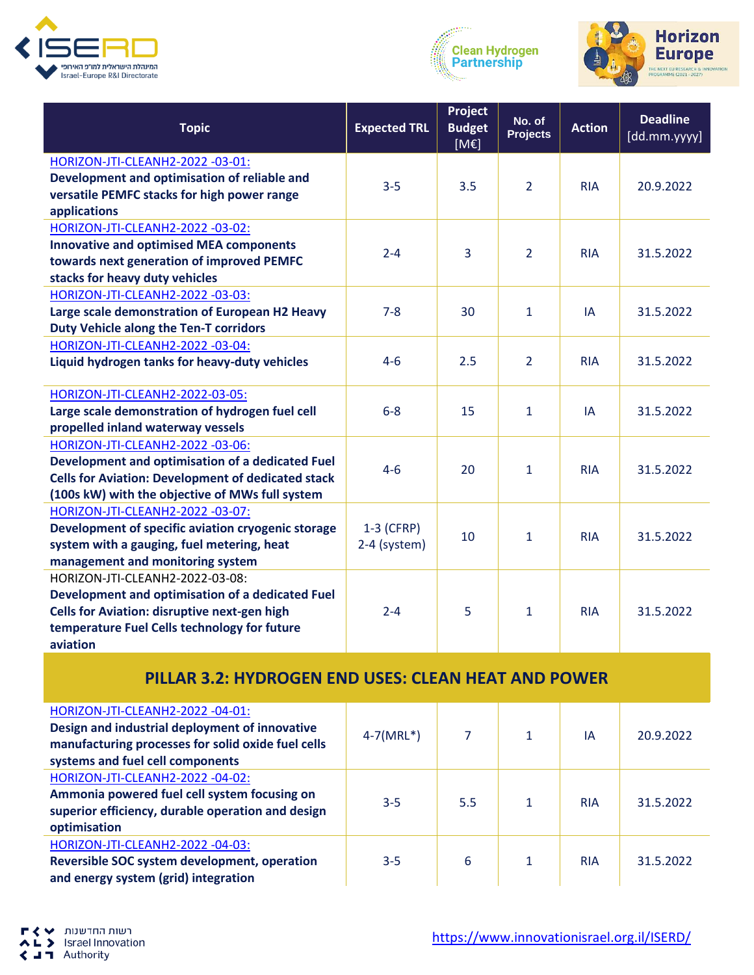





| <b>Topic</b>                                                                   | <b>Expected TRL</b> | Project<br><b>Budget</b><br>[ME] | No. of<br><b>Projects</b> | <b>Action</b> | <b>Deadline</b><br>[dd.mm.yyyy] |
|--------------------------------------------------------------------------------|---------------------|----------------------------------|---------------------------|---------------|---------------------------------|
| HORIZON-JTI-CLEANH2-2022 -03-01:                                               |                     |                                  |                           |               |                                 |
| Development and optimisation of reliable and                                   | $3 - 5$             | 3.5                              | $\overline{2}$            | <b>RIA</b>    | 20.9.2022                       |
| versatile PEMFC stacks for high power range                                    |                     |                                  |                           |               |                                 |
| applications                                                                   |                     |                                  |                           |               |                                 |
| HORIZON-JTI-CLEANH2-2022 -03-02:                                               |                     |                                  |                           |               |                                 |
| <b>Innovative and optimised MEA components</b>                                 | $2 - 4$             | 3                                | $\overline{2}$            | <b>RIA</b>    | 31.5.2022                       |
| towards next generation of improved PEMFC<br>stacks for heavy duty vehicles    |                     |                                  |                           |               |                                 |
| HORIZON-JTI-CLEANH2-2022 -03-03:                                               |                     |                                  |                           |               |                                 |
| Large scale demonstration of European H2 Heavy                                 | $7 - 8$             | 30                               | $\mathbf{1}$              | IA            | 31.5.2022                       |
| <b>Duty Vehicle along the Ten-T corridors</b>                                  |                     |                                  |                           |               |                                 |
| HORIZON-JTI-CLEANH2-2022 -03-04:                                               |                     |                                  |                           |               |                                 |
| Liquid hydrogen tanks for heavy-duty vehicles                                  | $4 - 6$             | 2.5                              | 2                         | <b>RIA</b>    | 31.5.2022                       |
| HORIZON-JTI-CLEANH2-2022-03-05:                                                |                     |                                  |                           |               |                                 |
| Large scale demonstration of hydrogen fuel cell                                | $6 - 8$             | 15                               | $\mathbf{1}$              | IA            | 31.5.2022                       |
| propelled inland waterway vessels                                              |                     |                                  |                           |               |                                 |
| HORIZON-JTI-CLEANH2-2022 -03-06:                                               |                     |                                  |                           |               |                                 |
| Development and optimisation of a dedicated Fuel                               | $4 - 6$             | 20                               | 1                         | <b>RIA</b>    | 31.5.2022                       |
| <b>Cells for Aviation: Development of dedicated stack</b>                      |                     |                                  |                           |               |                                 |
| (100s kW) with the objective of MWs full system                                |                     |                                  |                           |               |                                 |
| HORIZON-JTI-CLEANH2-2022 -03-07:                                               |                     |                                  |                           |               |                                 |
| Development of specific aviation cryogenic storage                             | $1-3$ (CFRP)        | 10                               | $\mathbf{1}$              | <b>RIA</b>    | 31.5.2022                       |
| system with a gauging, fuel metering, heat<br>management and monitoring system | 2-4 (system)        |                                  |                           |               |                                 |
| HORIZON-JTI-CLEANH2-2022-03-08:                                                |                     |                                  |                           |               |                                 |
| Development and optimisation of a dedicated Fuel                               |                     |                                  |                           |               |                                 |
| <b>Cells for Aviation: disruptive next-gen high</b>                            | $2 - 4$             | 5                                | 1                         | <b>RIA</b>    | 31.5.2022                       |
| temperature Fuel Cells technology for future                                   |                     |                                  |                           |               |                                 |
| aviation                                                                       |                     |                                  |                           |               |                                 |

## **PILLAR 3.2: HYDROGEN END USES: CLEAN HEAT AND POWER**

| HORIZON-JTI-CLEANH2-2022 -04-01:<br>Design and industrial deployment of innovative<br>manufacturing processes for solid oxide fuel cells<br>systems and fuel cell components | $4-7(MRL^*)$ |     | ΙA         | 20.9.2022 |
|------------------------------------------------------------------------------------------------------------------------------------------------------------------------------|--------------|-----|------------|-----------|
| HORIZON-JTI-CLEANH2-2022 -04-02:<br>Ammonia powered fuel cell system focusing on<br>superior efficiency, durable operation and design<br>optimisation                        | $3 - 5$      | 5.5 | <b>RIA</b> | 31.5.2022 |
| HORIZON-JTI-CLEANH2-2022 -04-03:<br>Reversible SOC system development, operation<br>and energy system (grid) integration                                                     | $3 - 5$      | 6   | <b>RIA</b> | 31.5.2022 |